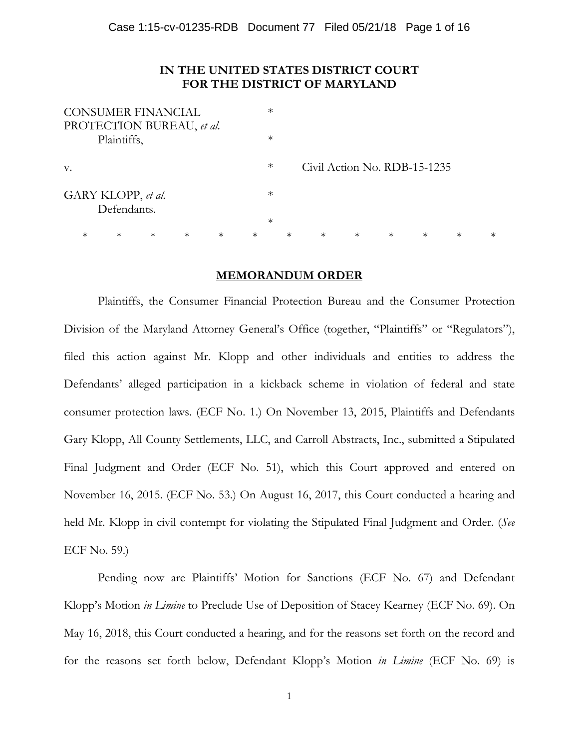## **IN THE UNITED STATES DISTRICT COURT FOR THE DISTRICT OF MARYLAND**

| <b>CONSUMER FINANCIAL</b> |             |        |        |        |        | $\ast$ |        |                              |        |        |        |        |        |
|---------------------------|-------------|--------|--------|--------|--------|--------|--------|------------------------------|--------|--------|--------|--------|--------|
| PROTECTION BUREAU, et al. |             |        |        |        |        |        |        |                              |        |        |        |        |        |
|                           | Plaintiffs, |        |        |        |        | $\ast$ |        |                              |        |        |        |        |        |
|                           |             |        |        |        |        |        |        |                              |        |        |        |        |        |
| V.                        |             |        |        |        |        | $\ast$ |        | Civil Action No. RDB-15-1235 |        |        |        |        |        |
|                           |             |        |        |        |        |        |        |                              |        |        |        |        |        |
| GARY KLOPP, et al.        |             |        |        |        |        | $\ast$ |        |                              |        |        |        |        |        |
|                           | Defendants. |        |        |        |        |        |        |                              |        |        |        |        |        |
|                           |             |        |        |        |        | $\ast$ |        |                              |        |        |        |        |        |
| $\ast$                    | $\ast$      | $\ast$ | $\ast$ | $\ast$ | $\ast$ |        | $\ast$ | $\ast$                       | $\ast$ | $\ast$ | $\ast$ | $\ast$ | $\ast$ |

## **MEMORANDUM ORDER**

Plaintiffs, the Consumer Financial Protection Bureau and the Consumer Protection Division of the Maryland Attorney General's Office (together, "Plaintiffs" or "Regulators"), filed this action against Mr. Klopp and other individuals and entities to address the Defendants' alleged participation in a kickback scheme in violation of federal and state consumer protection laws. (ECF No. 1.) On November 13, 2015, Plaintiffs and Defendants Gary Klopp, All County Settlements, LLC, and Carroll Abstracts, Inc., submitted a Stipulated Final Judgment and Order (ECF No. 51), which this Court approved and entered on November 16, 2015. (ECF No. 53.) On August 16, 2017, this Court conducted a hearing and held Mr. Klopp in civil contempt for violating the Stipulated Final Judgment and Order. (*See* ECF No. 59.)

Pending now are Plaintiffs' Motion for Sanctions (ECF No. 67) and Defendant Klopp's Motion *in Limine* to Preclude Use of Deposition of Stacey Kearney (ECF No. 69). On May 16, 2018, this Court conducted a hearing, and for the reasons set forth on the record and for the reasons set forth below, Defendant Klopp's Motion *in Limine* (ECF No. 69) is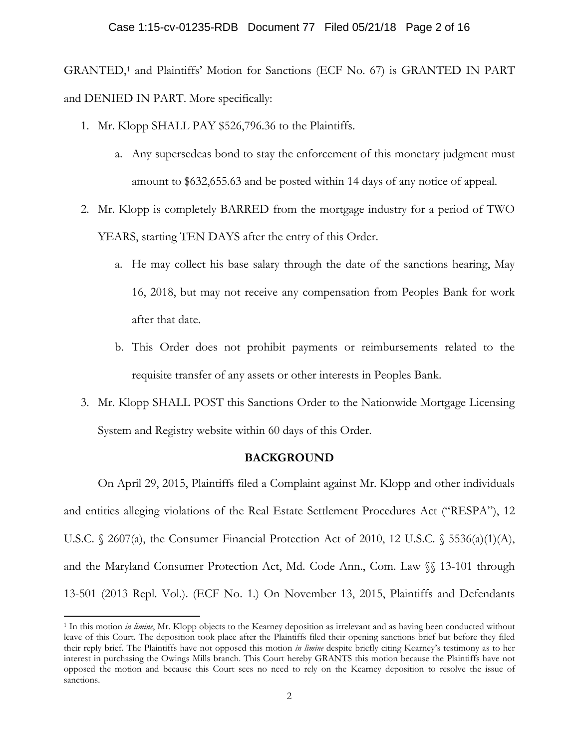GRANTED,1 and Plaintiffs' Motion for Sanctions (ECF No. 67) is GRANTED IN PART and DENIED IN PART. More specifically:

- 1. Mr. Klopp SHALL PAY \$526,796.36 to the Plaintiffs.
	- a. Any supersedeas bond to stay the enforcement of this monetary judgment must amount to \$632,655.63 and be posted within 14 days of any notice of appeal.
- 2. Mr. Klopp is completely BARRED from the mortgage industry for a period of TWO YEARS, starting TEN DAYS after the entry of this Order.
	- a. He may collect his base salary through the date of the sanctions hearing, May 16, 2018, but may not receive any compensation from Peoples Bank for work after that date.
	- b. This Order does not prohibit payments or reimbursements related to the requisite transfer of any assets or other interests in Peoples Bank.
- 3. Mr. Klopp SHALL POST this Sanctions Order to the Nationwide Mortgage Licensing System and Registry website within 60 days of this Order.

# **BACKGROUND**

On April 29, 2015, Plaintiffs filed a Complaint against Mr. Klopp and other individuals and entities alleging violations of the Real Estate Settlement Procedures Act ("RESPA"), 12 U.S.C. § 2607(a), the Consumer Financial Protection Act of 2010, 12 U.S.C. § 5536(a)(1)(A), and the Maryland Consumer Protection Act, Md. Code Ann., Com. Law §§ 13-101 through 13-501 (2013 Repl. Vol.). (ECF No. 1.) On November 13, 2015, Plaintiffs and Defendants

<sup>1</sup> In this motion *in limine*, Mr. Klopp objects to the Kearney deposition as irrelevant and as having been conducted without leave of this Court. The deposition took place after the Plaintiffs filed their opening sanctions brief but before they filed their reply brief. The Plaintiffs have not opposed this motion *in limine* despite briefly citing Kearney's testimony as to her interest in purchasing the Owings Mills branch. This Court hereby GRANTS this motion because the Plaintiffs have not opposed the motion and because this Court sees no need to rely on the Kearney deposition to resolve the issue of sanctions.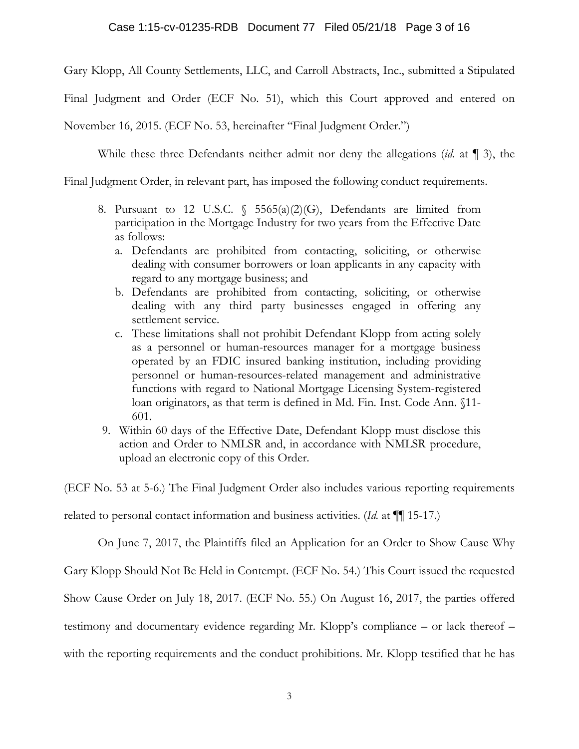Gary Klopp, All County Settlements, LLC, and Carroll Abstracts, Inc., submitted a Stipulated

Final Judgment and Order (ECF No. 51), which this Court approved and entered on

November 16, 2015. (ECF No. 53, hereinafter "Final Judgment Order.")

While these three Defendants neither admit nor deny the allegations (*id.* at ¶ 3), the

Final Judgment Order, in relevant part, has imposed the following conduct requirements.

- 8. Pursuant to 12 U.S.C.  $\frac{1}{5}$  5565(a)(2)(G), Defendants are limited from participation in the Mortgage Industry for two years from the Effective Date as follows:
	- a. Defendants are prohibited from contacting, soliciting, or otherwise dealing with consumer borrowers or loan applicants in any capacity with regard to any mortgage business; and
	- b. Defendants are prohibited from contacting, soliciting, or otherwise dealing with any third party businesses engaged in offering any settlement service.
	- c. These limitations shall not prohibit Defendant Klopp from acting solely as a personnel or human-resources manager for a mortgage business operated by an FDIC insured banking institution, including providing personnel or human-resources-related management and administrative functions with regard to National Mortgage Licensing System-registered loan originators, as that term is defined in Md. Fin. Inst. Code Ann. §11- 601.
- 9. Within 60 days of the Effective Date, Defendant Klopp must disclose this action and Order to NMLSR and, in accordance with NMLSR procedure, upload an electronic copy of this Order.

(ECF No. 53 at 5-6.) The Final Judgment Order also includes various reporting requirements

related to personal contact information and business activities. (*Id.* at ¶¶ 15-17.)

On June 7, 2017, the Plaintiffs filed an Application for an Order to Show Cause Why

Gary Klopp Should Not Be Held in Contempt. (ECF No. 54.) This Court issued the requested

Show Cause Order on July 18, 2017. (ECF No. 55.) On August 16, 2017, the parties offered

testimony and documentary evidence regarding Mr. Klopp's compliance – or lack thereof –

with the reporting requirements and the conduct prohibitions. Mr. Klopp testified that he has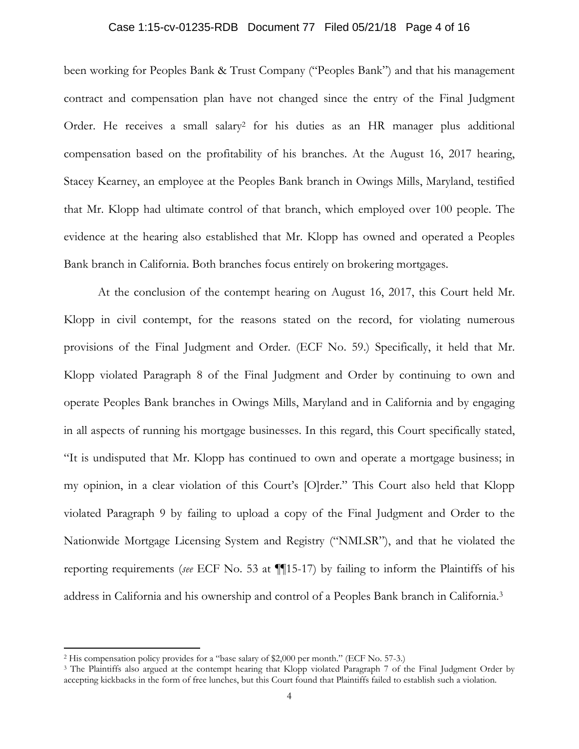#### Case 1:15-cv-01235-RDB Document 77 Filed 05/21/18 Page 4 of 16

been working for Peoples Bank & Trust Company ("Peoples Bank") and that his management contract and compensation plan have not changed since the entry of the Final Judgment Order. He receives a small salary<sup>2</sup> for his duties as an HR manager plus additional compensation based on the profitability of his branches. At the August 16, 2017 hearing, Stacey Kearney, an employee at the Peoples Bank branch in Owings Mills, Maryland, testified that Mr. Klopp had ultimate control of that branch, which employed over 100 people. The evidence at the hearing also established that Mr. Klopp has owned and operated a Peoples Bank branch in California. Both branches focus entirely on brokering mortgages.

 At the conclusion of the contempt hearing on August 16, 2017, this Court held Mr. Klopp in civil contempt, for the reasons stated on the record, for violating numerous provisions of the Final Judgment and Order. (ECF No. 59.) Specifically, it held that Mr. Klopp violated Paragraph 8 of the Final Judgment and Order by continuing to own and operate Peoples Bank branches in Owings Mills, Maryland and in California and by engaging in all aspects of running his mortgage businesses. In this regard, this Court specifically stated, "It is undisputed that Mr. Klopp has continued to own and operate a mortgage business; in my opinion, in a clear violation of this Court's [O]rder." This Court also held that Klopp violated Paragraph 9 by failing to upload a copy of the Final Judgment and Order to the Nationwide Mortgage Licensing System and Registry ("NMLSR"), and that he violated the reporting requirements (*see* ECF No. 53 at ¶¶15-17) by failing to inform the Plaintiffs of his address in California and his ownership and control of a Peoples Bank branch in California.3

<sup>2</sup> His compensation policy provides for a "base salary of \$2,000 per month." (ECF No. 57-3.)

<sup>&</sup>lt;sup>3</sup> The Plaintiffs also argued at the contempt hearing that Klopp violated Paragraph 7 of the Final Judgment Order by accepting kickbacks in the form of free lunches, but this Court found that Plaintiffs failed to establish such a violation.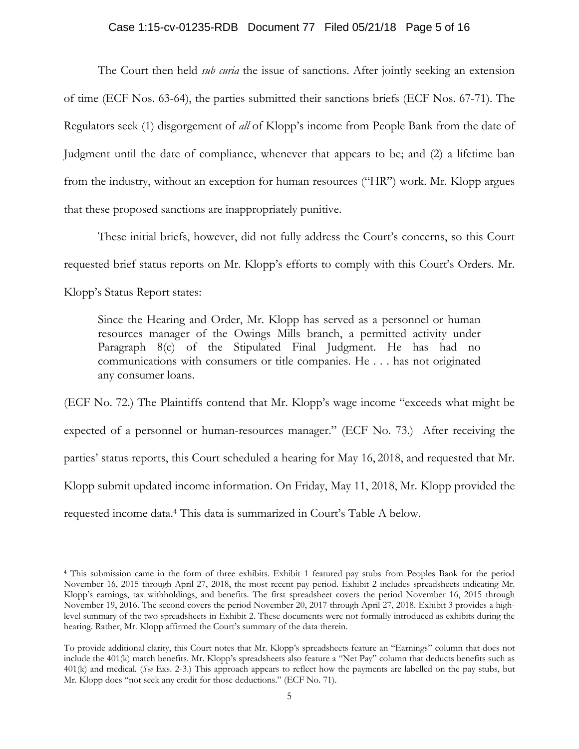### Case 1:15-cv-01235-RDB Document 77 Filed 05/21/18 Page 5 of 16

The Court then held *sub curia* the issue of sanctions. After jointly seeking an extension of time (ECF Nos. 63-64), the parties submitted their sanctions briefs (ECF Nos. 67-71). The Regulators seek (1) disgorgement of *all* of Klopp's income from People Bank from the date of Judgment until the date of compliance, whenever that appears to be; and (2) a lifetime ban from the industry, without an exception for human resources ("HR") work. Mr. Klopp argues that these proposed sanctions are inappropriately punitive.

These initial briefs, however, did not fully address the Court's concerns, so this Court requested brief status reports on Mr. Klopp's efforts to comply with this Court's Orders. Mr. Klopp's Status Report states:

Since the Hearing and Order, Mr. Klopp has served as a personnel or human resources manager of the Owings Mills branch, a permitted activity under Paragraph 8(c) of the Stipulated Final Judgment. He has had no communications with consumers or title companies. He . . . has not originated any consumer loans.

(ECF No. 72.) The Plaintiffs contend that Mr. Klopp's wage income "exceeds what might be expected of a personnel or human-resources manager." (ECF No. 73.) After receiving the parties' status reports, this Court scheduled a hearing for May 16, 2018, and requested that Mr. Klopp submit updated income information. On Friday, May 11, 2018, Mr. Klopp provided the requested income data.4 This data is summarized in Court's Table A below.

<sup>4</sup> This submission came in the form of three exhibits. Exhibit 1 featured pay stubs from Peoples Bank for the period November 16, 2015 through April 27, 2018, the most recent pay period. Exhibit 2 includes spreadsheets indicating Mr. Klopp's earnings, tax withholdings, and benefits. The first spreadsheet covers the period November 16, 2015 through November 19, 2016. The second covers the period November 20, 2017 through April 27, 2018. Exhibit 3 provides a highlevel summary of the two spreadsheets in Exhibit 2. These documents were not formally introduced as exhibits during the hearing. Rather, Mr. Klopp affirmed the Court's summary of the data therein.

To provide additional clarity, this Court notes that Mr. Klopp's spreadsheets feature an "Earnings" column that does not include the 401(k) match benefits. Mr. Klopp's spreadsheets also feature a "Net Pay" column that deducts benefits such as 401(k) and medical. (*See* Exs. 2-3.) This approach appears to reflect how the payments are labelled on the pay stubs, but Mr. Klopp does "not seek any credit for those deductions." (ECF No. 71).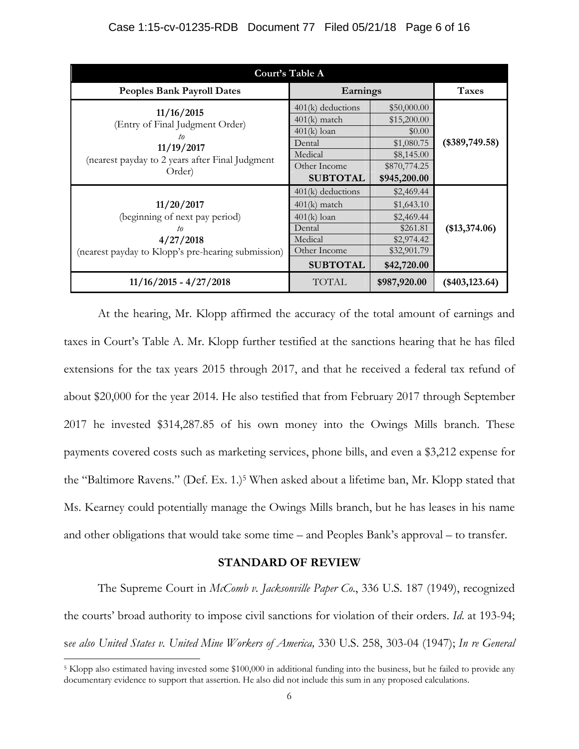| Court's Table A                                                                                                                |                                                                                                                |                                                                                                  |                 |  |  |  |  |
|--------------------------------------------------------------------------------------------------------------------------------|----------------------------------------------------------------------------------------------------------------|--------------------------------------------------------------------------------------------------|-----------------|--|--|--|--|
| <b>Peoples Bank Payroll Dates</b>                                                                                              | Earnings                                                                                                       | <b>Taxes</b>                                                                                     |                 |  |  |  |  |
| 11/16/2015<br>(Entry of Final Judgment Order)<br>to<br>11/19/2017<br>(nearest payday to 2 years after Final Judgment<br>Order) | $401(k)$ deductions<br>$401(k)$ match<br>$401(k)$ loan<br>Dental<br>Medical<br>Other Income<br><b>SUBTOTAL</b> | \$50,000.00<br>\$15,200.00<br>\$0.00<br>\$1,080.75<br>\$8,145.00<br>\$870,774.25<br>\$945,200.00 | $(*389,749.58)$ |  |  |  |  |
| 11/20/2017<br>(beginning of next pay period)<br>to<br>4/27/2018<br>(nearest payday to Klopp's pre-hearing submission)          | $401(k)$ deductions<br>$401(k)$ match<br>$401(k)$ loan<br>Dental<br>Medical<br>Other Income<br><b>SUBTOTAL</b> | \$2,469.44<br>\$1,643.10<br>\$2,469.44<br>\$261.81<br>\$2,974.42<br>\$32,901.79<br>\$42,720.00   | (\$13,374.06)   |  |  |  |  |
| $11/16/2015 - 4/27/2018$                                                                                                       | <b>TOTAL</b>                                                                                                   | \$987,920.00                                                                                     | $(*403,123.64)$ |  |  |  |  |

At the hearing, Mr. Klopp affirmed the accuracy of the total amount of earnings and taxes in Court's Table A. Mr. Klopp further testified at the sanctions hearing that he has filed extensions for the tax years 2015 through 2017, and that he received a federal tax refund of about \$20,000 for the year 2014. He also testified that from February 2017 through September 2017 he invested \$314,287.85 of his own money into the Owings Mills branch. These payments covered costs such as marketing services, phone bills, and even a \$3,212 expense for the "Baltimore Ravens." (Def. Ex. 1.)5 When asked about a lifetime ban, Mr. Klopp stated that Ms. Kearney could potentially manage the Owings Mills branch, but he has leases in his name and other obligations that would take some time – and Peoples Bank's approval – to transfer.

## **STANDARD OF REVIEW**

The Supreme Court in *McComb v. Jacksonville Paper Co*., 336 U.S. 187 (1949), recognized the courts' broad authority to impose civil sanctions for violation of their orders. *Id*. at 193-94; s*ee also United States v. United Mine Workers of America,* 330 U.S. 258, 303-04 (1947); *In re General* 

 $5$  Klopp also estimated having invested some \$100,000 in additional funding into the business, but he failed to provide any documentary evidence to support that assertion. He also did not include this sum in any proposed calculations.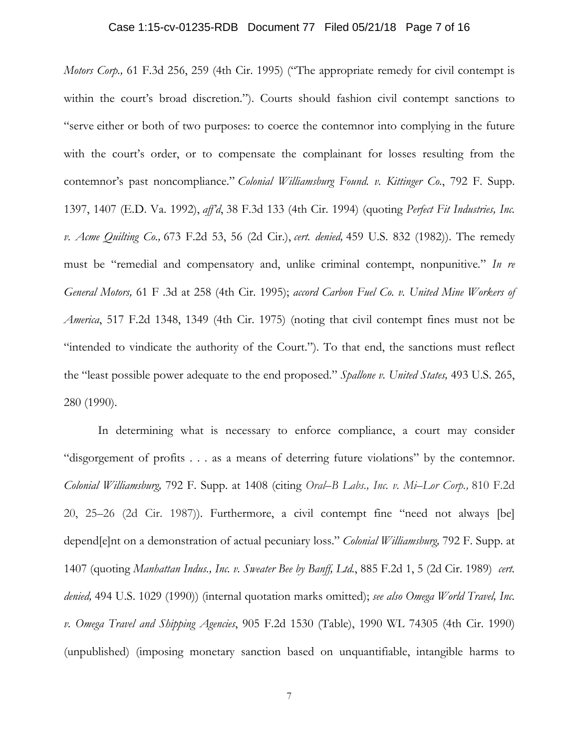*Motors Corp.,* 61 F.3d 256, 259 (4th Cir. 1995) ("The appropriate remedy for civil contempt is within the court's broad discretion."). Courts should fashion civil contempt sanctions to "serve either or both of two purposes: to coerce the contemnor into complying in the future with the court's order, or to compensate the complainant for losses resulting from the contemnor's past noncompliance." *Colonial Williamsburg Found. v. Kittinger Co.*, 792 F. Supp. 1397, 1407 (E.D. Va. 1992), *aff'd*, 38 F.3d 133 (4th Cir. 1994) (quoting *Perfect Fit Industries, Inc. v. Acme Quilting Co.,* 673 F.2d 53, 56 (2d Cir.), *cert. denied,* 459 U.S. 832 (1982)). The remedy must be "remedial and compensatory and, unlike criminal contempt, nonpunitive*.*" *In re General Motors,* 61 F .3d at 258 (4th Cir. 1995); *accord Carbon Fuel Co. v. United Mine Workers of America*, 517 F.2d 1348, 1349 (4th Cir. 1975) (noting that civil contempt fines must not be "intended to vindicate the authority of the Court."). To that end, the sanctions must reflect the "least possible power adequate to the end proposed." *Spallone v. United States,* 493 U.S. 265, 280 (1990).

In determining what is necessary to enforce compliance, a court may consider "disgorgement of profits . . . as a means of deterring future violations" by the contemnor. *Colonial Williamsburg,* 792 F. Supp. at 1408 (citing *Oral–B Labs., Inc. v. Mi–Lor Corp.,* 810 F.2d 20, 25–26 (2d Cir. 1987)). Furthermore, a civil contempt fine "need not always [be] depend[e]nt on a demonstration of actual pecuniary loss." *Colonial Williamsburg,* 792 F. Supp. at 1407 (quoting *Manhattan Indus., Inc. v. Sweater Bee by Banff, Ltd.*, 885 F.2d 1, 5 (2d Cir. 1989) *cert. denied,* 494 U.S. 1029 (1990)) (internal quotation marks omitted); *see also Omega World Travel, Inc. v. Omega Travel and Shipping Agencies*, 905 F.2d 1530 (Table), 1990 WL 74305 (4th Cir. 1990) (unpublished) (imposing monetary sanction based on unquantifiable, intangible harms to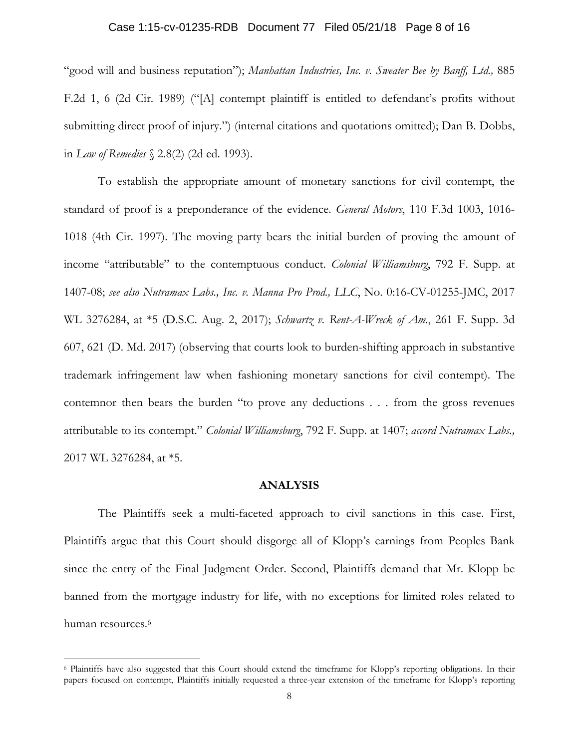#### Case 1:15-cv-01235-RDB Document 77 Filed 05/21/18 Page 8 of 16

"good will and business reputation"); *Manhattan Industries, Inc. v. Sweater Bee by Banff, Ltd.,* 885 F.2d 1, 6 (2d Cir. 1989) ("[A] contempt plaintiff is entitled to defendant's profits without submitting direct proof of injury.") (internal citations and quotations omitted); Dan B. Dobbs, in *Law of Remedies* § 2.8(2) (2d ed. 1993).

 To establish the appropriate amount of monetary sanctions for civil contempt, the standard of proof is a preponderance of the evidence. *General Motors*, 110 F.3d 1003, 1016- 1018 (4th Cir. 1997). The moving party bears the initial burden of proving the amount of income "attributable" to the contemptuous conduct. *Colonial Williamsburg*, 792 F. Supp. at 1407-08; *see also Nutramax Labs., Inc. v. Manna Pro Prod., LLC*, No. 0:16-CV-01255-JMC, 2017 WL 3276284, at \*5 (D.S.C. Aug. 2, 2017); *Schwartz v. Rent-A-Wreck of Am.*, 261 F. Supp. 3d 607, 621 (D. Md. 2017) (observing that courts look to burden-shifting approach in substantive trademark infringement law when fashioning monetary sanctions for civil contempt). The contemnor then bears the burden "to prove any deductions . . . from the gross revenues attributable to its contempt." *Colonial Williamsburg*, 792 F. Supp. at 1407; *accord Nutramax Labs.,*  2017 WL 3276284, at \*5.

### **ANALYSIS**

The Plaintiffs seek a multi-faceted approach to civil sanctions in this case. First, Plaintiffs argue that this Court should disgorge all of Klopp's earnings from Peoples Bank since the entry of the Final Judgment Order. Second, Plaintiffs demand that Mr. Klopp be banned from the mortgage industry for life, with no exceptions for limited roles related to human resources.<sup>6</sup>

<sup>6</sup> Plaintiffs have also suggested that this Court should extend the timeframe for Klopp's reporting obligations. In their papers focused on contempt, Plaintiffs initially requested a three-year extension of the timeframe for Klopp's reporting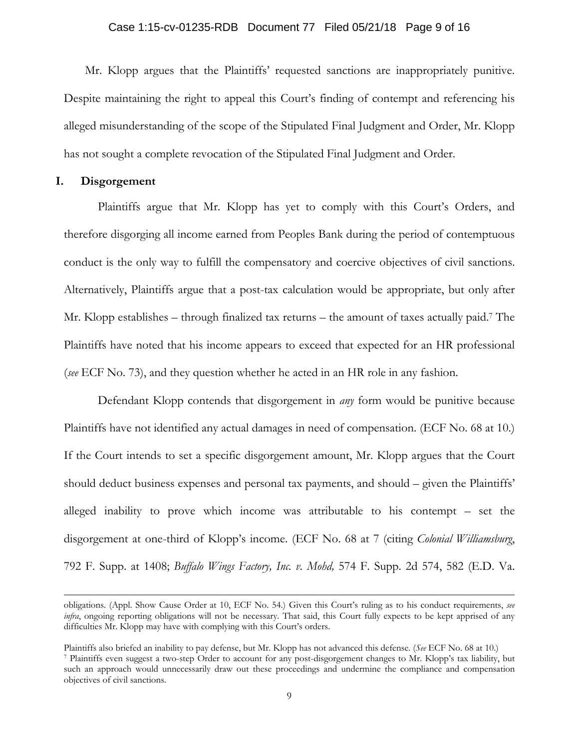#### Case 1:15-cv-01235-RDB Document 77 Filed 05/21/18 Page 9 of 16

Mr. Klopp argues that the Plaintiffs' requested sanctions are inappropriately punitive. Despite maintaining the right to appeal this Court's finding of contempt and referencing his alleged misunderstanding of the scope of the Stipulated Final Judgment and Order, Mr. Klopp has not sought a complete revocation of the Stipulated Final Judgment and Order.

### **I. Disgorgement**

Plaintiffs argue that Mr. Klopp has yet to comply with this Court's Orders, and therefore disgorging all income earned from Peoples Bank during the period of contemptuous conduct is the only way to fulfill the compensatory and coercive objectives of civil sanctions. Alternatively, Plaintiffs argue that a post-tax calculation would be appropriate, but only after Mr. Klopp establishes – through finalized tax returns – the amount of taxes actually paid.<sup>7</sup> The Plaintiffs have noted that his income appears to exceed that expected for an HR professional (*see* ECF No. 73), and they question whether he acted in an HR role in any fashion.

Defendant Klopp contends that disgorgement in *any* form would be punitive because Plaintiffs have not identified any actual damages in need of compensation. (ECF No. 68 at 10.) If the Court intends to set a specific disgorgement amount, Mr. Klopp argues that the Court should deduct business expenses and personal tax payments, and should – given the Plaintiffs' alleged inability to prove which income was attributable to his contempt – set the disgorgement at one-third of Klopp's income. (ECF No. 68 at 7 (citing *Colonial Williamsburg*, 792 F. Supp. at 1408; *Buffalo Wings Factory, Inc. v. Mohd,* 574 F. Supp. 2d 574, 582 (E.D. Va.

<u> 1989 - Johann Stein, marwolaethau a cyfan y cyfan y gynydd y gynydd y gynydd y gynydd y gynydd y gynydd y gyn</u>

obligations. (Appl. Show Cause Order at 10, ECF No. 54.) Given this Court's ruling as to his conduct requirements, *see infra*, ongoing reporting obligations will not be necessary. That said, this Court fully expects to be kept apprised of any difficulties Mr. Klopp may have with complying with this Court's orders.

Plaintiffs also briefed an inability to pay defense, but Mr. Klopp has not advanced this defense. (See ECF No. 68 at 10.)<br>7 Plaintiffs even suggest a two-step Order to account for any post-disgorgement changes to Mr. Klopp

such an approach would unnecessarily draw out these proceedings and undermine the compliance and compensation objectives of civil sanctions.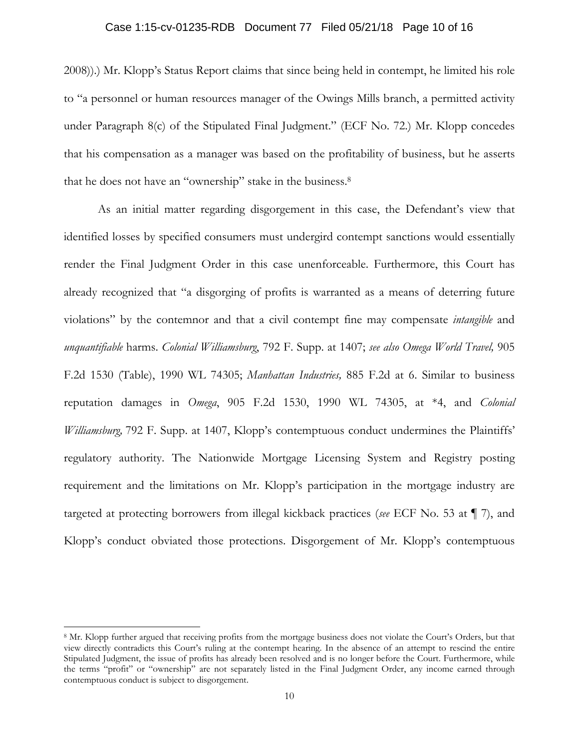## Case 1:15-cv-01235-RDB Document 77 Filed 05/21/18 Page 10 of 16

2008)).) Mr. Klopp's Status Report claims that since being held in contempt, he limited his role to "a personnel or human resources manager of the Owings Mills branch, a permitted activity under Paragraph 8(c) of the Stipulated Final Judgment." (ECF No. 72.) Mr. Klopp concedes that his compensation as a manager was based on the profitability of business, but he asserts that he does not have an "ownership" stake in the business.8

As an initial matter regarding disgorgement in this case, the Defendant's view that identified losses by specified consumers must undergird contempt sanctions would essentially render the Final Judgment Order in this case unenforceable. Furthermore, this Court has already recognized that "a disgorging of profits is warranted as a means of deterring future violations" by the contemnor and that a civil contempt fine may compensate *intangible* and *unquantifiable* harms. *Colonial Williamsburg*, 792 F. Supp. at 1407; *see also Omega World Travel,* 905 F.2d 1530 (Table), 1990 WL 74305; *Manhattan Industries,* 885 F.2d at 6. Similar to business reputation damages in *Omega*, 905 F.2d 1530, 1990 WL 74305, at \*4, and *Colonial Williamsburg*, 792 F. Supp. at 1407, Klopp's contemptuous conduct undermines the Plaintiffs' regulatory authority. The Nationwide Mortgage Licensing System and Registry posting requirement and the limitations on Mr. Klopp's participation in the mortgage industry are targeted at protecting borrowers from illegal kickback practices (*see* ECF No. 53 at ¶ 7), and Klopp's conduct obviated those protections. Disgorgement of Mr. Klopp's contemptuous

<sup>8</sup> Mr. Klopp further argued that receiving profits from the mortgage business does not violate the Court's Orders, but that view directly contradicts this Court's ruling at the contempt hearing. In the absence of an attempt to rescind the entire Stipulated Judgment, the issue of profits has already been resolved and is no longer before the Court. Furthermore, while the terms "profit" or "ownership" are not separately listed in the Final Judgment Order, any income earned through contemptuous conduct is subject to disgorgement.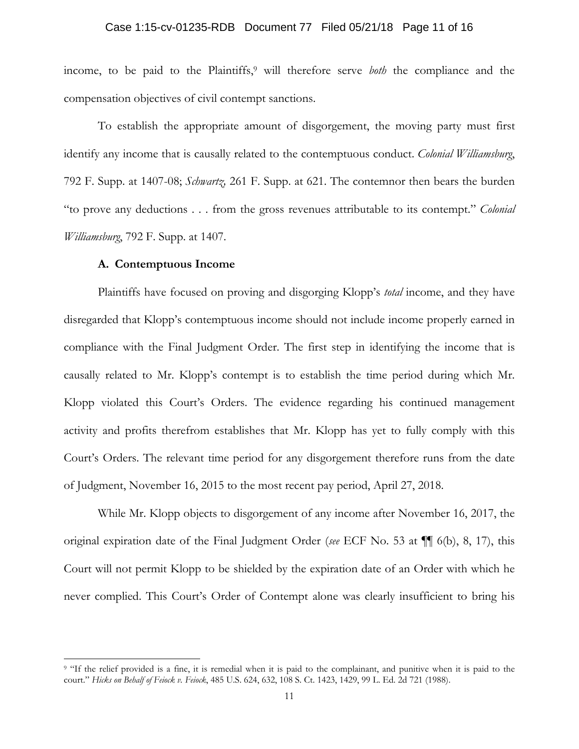#### Case 1:15-cv-01235-RDB Document 77 Filed 05/21/18 Page 11 of 16

income, to be paid to the Plaintiffs,<sup>9</sup> will therefore serve *both* the compliance and the compensation objectives of civil contempt sanctions.

To establish the appropriate amount of disgorgement, the moving party must first identify any income that is causally related to the contemptuous conduct. *Colonial Williamsburg*, 792 F. Supp. at 1407-08; *Schwartz,* 261 F. Supp. at 621. The contemnor then bears the burden "to prove any deductions . . . from the gross revenues attributable to its contempt." *Colonial Williamsburg*, 792 F. Supp. at 1407.

### **A. Contemptuous Income**

Plaintiffs have focused on proving and disgorging Klopp's *total* income, and they have disregarded that Klopp's contemptuous income should not include income properly earned in compliance with the Final Judgment Order. The first step in identifying the income that is causally related to Mr. Klopp's contempt is to establish the time period during which Mr. Klopp violated this Court's Orders. The evidence regarding his continued management activity and profits therefrom establishes that Mr. Klopp has yet to fully comply with this Court's Orders. The relevant time period for any disgorgement therefore runs from the date of Judgment, November 16, 2015 to the most recent pay period, April 27, 2018.

While Mr. Klopp objects to disgorgement of any income after November 16, 2017, the original expiration date of the Final Judgment Order (*see* ECF No. 53 at ¶¶ 6(b), 8, 17), this Court will not permit Klopp to be shielded by the expiration date of an Order with which he never complied. This Court's Order of Contempt alone was clearly insufficient to bring his

<sup>&</sup>lt;sup>9</sup> "If the relief provided is a fine, it is remedial when it is paid to the complainant, and punitive when it is paid to the court." *Hicks on Behalf of Feiock v. Feiock*, 485 U.S. 624, 632, 108 S. Ct. 1423, 1429, 99 L. Ed. 2d 721 (1988).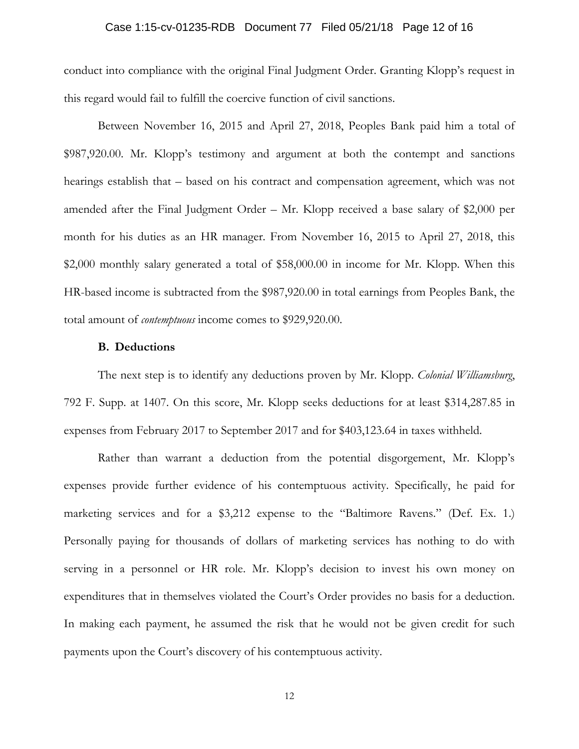### Case 1:15-cv-01235-RDB Document 77 Filed 05/21/18 Page 12 of 16

conduct into compliance with the original Final Judgment Order. Granting Klopp's request in this regard would fail to fulfill the coercive function of civil sanctions.

Between November 16, 2015 and April 27, 2018, Peoples Bank paid him a total of \$987,920.00. Mr. Klopp's testimony and argument at both the contempt and sanctions hearings establish that – based on his contract and compensation agreement, which was not amended after the Final Judgment Order – Mr. Klopp received a base salary of \$2,000 per month for his duties as an HR manager. From November 16, 2015 to April 27, 2018, this \$2,000 monthly salary generated a total of \$58,000.00 in income for Mr. Klopp. When this HR-based income is subtracted from the \$987,920.00 in total earnings from Peoples Bank, the total amount of *contemptuous* income comes to \$929,920.00.

#### **B. Deductions**

The next step is to identify any deductions proven by Mr. Klopp. *Colonial Williamsburg*, 792 F. Supp. at 1407. On this score, Mr. Klopp seeks deductions for at least \$314,287.85 in expenses from February 2017 to September 2017 and for \$403,123.64 in taxes withheld.

Rather than warrant a deduction from the potential disgorgement, Mr. Klopp's expenses provide further evidence of his contemptuous activity. Specifically, he paid for marketing services and for a \$3,212 expense to the "Baltimore Ravens." (Def. Ex. 1.) Personally paying for thousands of dollars of marketing services has nothing to do with serving in a personnel or HR role. Mr. Klopp's decision to invest his own money on expenditures that in themselves violated the Court's Order provides no basis for a deduction. In making each payment, he assumed the risk that he would not be given credit for such payments upon the Court's discovery of his contemptuous activity.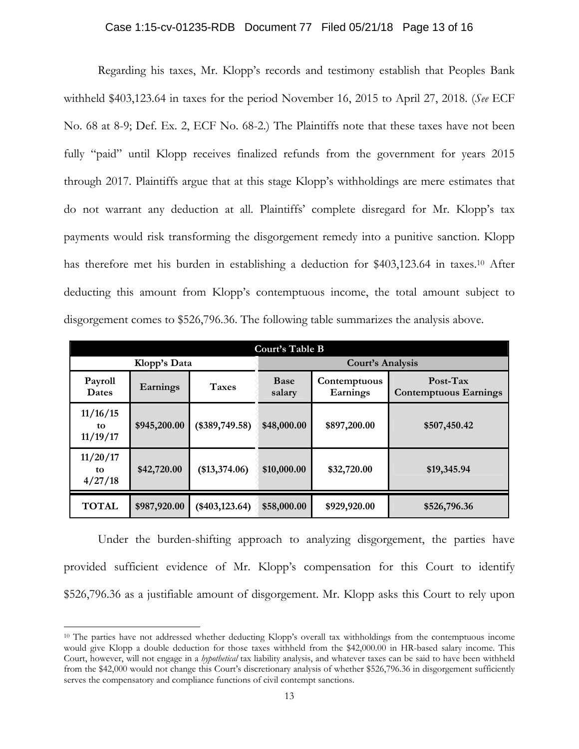#### Case 1:15-cv-01235-RDB Document 77 Filed 05/21/18 Page 13 of 16

Regarding his taxes, Mr. Klopp's records and testimony establish that Peoples Bank withheld \$403,123.64 in taxes for the period November 16, 2015 to April 27, 2018. (*See* ECF No. 68 at 8-9; Def. Ex. 2, ECF No. 68-2.) The Plaintiffs note that these taxes have not been fully "paid" until Klopp receives finalized refunds from the government for years 2015 through 2017. Plaintiffs argue that at this stage Klopp's withholdings are mere estimates that do not warrant any deduction at all. Plaintiffs' complete disregard for Mr. Klopp's tax payments would risk transforming the disgorgement remedy into a punitive sanction. Klopp has therefore met his burden in establishing a deduction for \$403,123.64 in taxes.<sup>10</sup> After deducting this amount from Klopp's contemptuous income, the total amount subject to disgorgement comes to \$526,796.36. The following table summarizes the analysis above.

| Court's Table B            |              |                  |                         |                          |                                            |  |  |  |
|----------------------------|--------------|------------------|-------------------------|--------------------------|--------------------------------------------|--|--|--|
|                            | Klopp's Data |                  | <b>Court's Analysis</b> |                          |                                            |  |  |  |
| Payroll<br><b>Dates</b>    | Earnings     | <b>Taxes</b>     | <b>Base</b><br>salary   | Contemptuous<br>Earnings | $Post-Tax$<br><b>Contemptuous Earnings</b> |  |  |  |
| 11/16/15<br>to<br>11/19/17 | \$945,200.00 | $(*389,749.58)$  | \$48,000.00             | \$897,200.00             | \$507,450.42                               |  |  |  |
| 11/20/17<br>to<br>4/27/18  | \$42,720.00  | (\$13,374.06)    | \$10,000.00             | \$32,720.00              | \$19,345.94                                |  |  |  |
| <b>TOTAL</b>               | \$987,920.00 | $(*403, 123.64)$ | \$58,000.00             | \$929,920.00             | \$526,796.36                               |  |  |  |

Under the burden-shifting approach to analyzing disgorgement, the parties have provided sufficient evidence of Mr. Klopp's compensation for this Court to identify \$526,796.36 as a justifiable amount of disgorgement. Mr. Klopp asks this Court to rely upon

<sup>&</sup>lt;sup>10</sup> The parties have not addressed whether deducting Klopp's overall tax withholdings from the contemptuous income would give Klopp a double deduction for those taxes withheld from the \$42,000.00 in HR-based salary income. This Court, however, will not engage in a *hypothetical* tax liability analysis, and whatever taxes can be said to have been withheld from the \$42,000 would not change this Court's discretionary analysis of whether \$526,796.36 in disgorgement sufficiently serves the compensatory and compliance functions of civil contempt sanctions.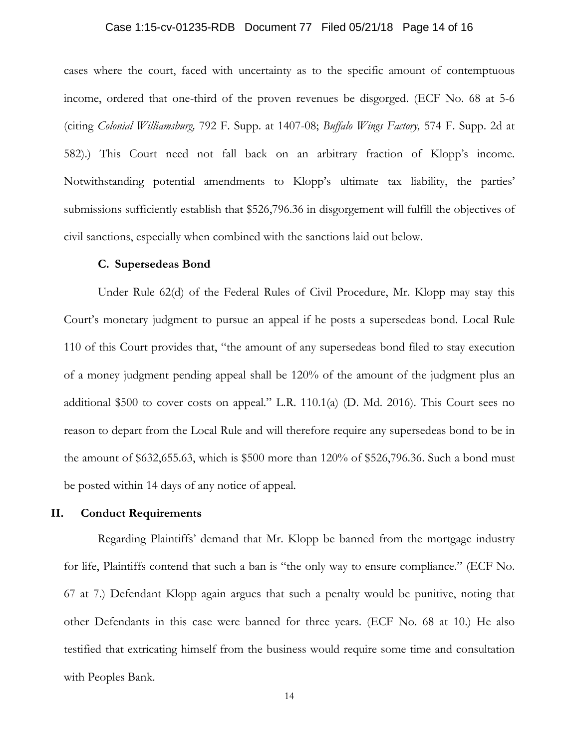#### Case 1:15-cv-01235-RDB Document 77 Filed 05/21/18 Page 14 of 16

cases where the court, faced with uncertainty as to the specific amount of contemptuous income, ordered that one-third of the proven revenues be disgorged. (ECF No. 68 at 5-6 (citing *Colonial Williamsburg,* 792 F. Supp. at 1407-08; *Buffalo Wings Factory,* 574 F. Supp. 2d at 582).) This Court need not fall back on an arbitrary fraction of Klopp's income. Notwithstanding potential amendments to Klopp's ultimate tax liability, the parties' submissions sufficiently establish that \$526,796.36 in disgorgement will fulfill the objectives of civil sanctions, especially when combined with the sanctions laid out below.

#### **C. Supersedeas Bond**

Under Rule 62(d) of the Federal Rules of Civil Procedure, Mr. Klopp may stay this Court's monetary judgment to pursue an appeal if he posts a supersedeas bond. Local Rule 110 of this Court provides that, "the amount of any supersedeas bond filed to stay execution of a money judgment pending appeal shall be 120% of the amount of the judgment plus an additional \$500 to cover costs on appeal." L.R. 110.1(a) (D. Md. 2016). This Court sees no reason to depart from the Local Rule and will therefore require any supersedeas bond to be in the amount of \$632,655.63, which is \$500 more than 120% of \$526,796.36. Such a bond must be posted within 14 days of any notice of appeal.

### **II. Conduct Requirements**

Regarding Plaintiffs' demand that Mr. Klopp be banned from the mortgage industry for life, Plaintiffs contend that such a ban is "the only way to ensure compliance." (ECF No. 67 at 7.) Defendant Klopp again argues that such a penalty would be punitive, noting that other Defendants in this case were banned for three years. (ECF No. 68 at 10.) He also testified that extricating himself from the business would require some time and consultation with Peoples Bank.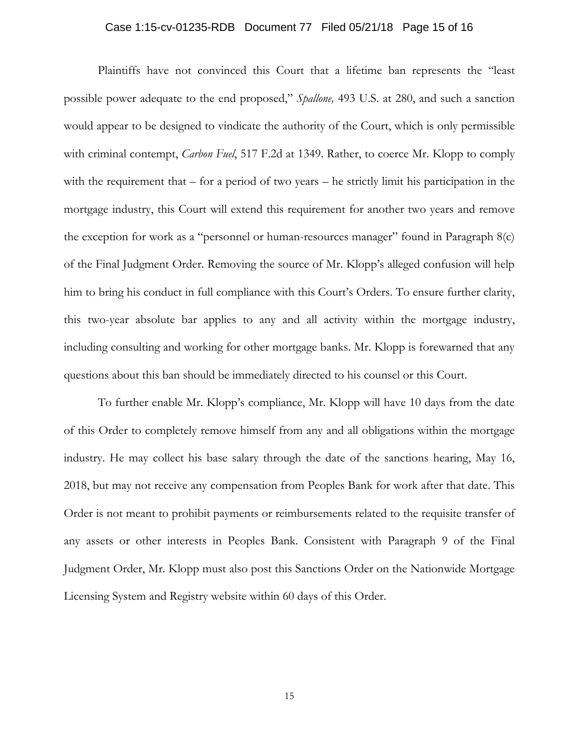#### Case 1:15-cv-01235-RDB Document 77 Filed 05/21/18 Page 15 of 16

Plaintiffs have not convinced this Court that a lifetime ban represents the "least possible power adequate to the end proposed," *Spallone,* 493 U.S. at 280, and such a sanction would appear to be designed to vindicate the authority of the Court, which is only permissible with criminal contempt, *Carbon Fuel*, 517 F.2d at 1349. Rather, to coerce Mr. Klopp to comply with the requirement that – for a period of two years – he strictly limit his participation in the mortgage industry, this Court will extend this requirement for another two years and remove the exception for work as a "personnel or human-resources manager" found in Paragraph  $8(c)$ of the Final Judgment Order. Removing the source of Mr. Klopp's alleged confusion will help him to bring his conduct in full compliance with this Court's Orders. To ensure further clarity, this two-year absolute bar applies to any and all activity within the mortgage industry, including consulting and working for other mortgage banks. Mr. Klopp is forewarned that any questions about this ban should be immediately directed to his counsel or this Court.

To further enable Mr. Klopp's compliance, Mr. Klopp will have 10 days from the date of this Order to completely remove himself from any and all obligations within the mortgage industry. He may collect his base salary through the date of the sanctions hearing, May 16, 2018, but may not receive any compensation from Peoples Bank for work after that date. This Order is not meant to prohibit payments or reimbursements related to the requisite transfer of any assets or other interests in Peoples Bank. Consistent with Paragraph 9 of the Final Judgment Order, Mr. Klopp must also post this Sanctions Order on the Nationwide Mortgage Licensing System and Registry website within 60 days of this Order.